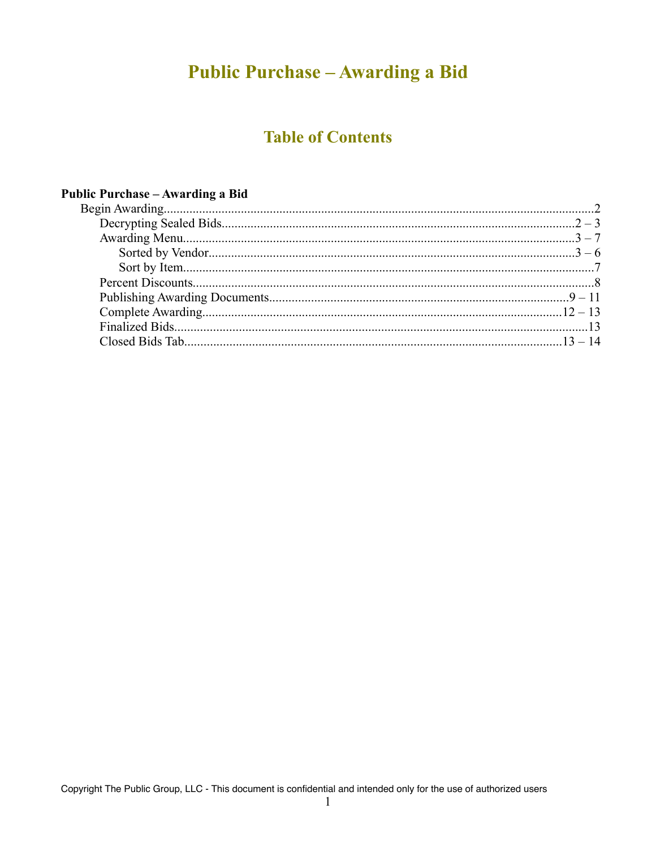# **Public Purchase - Awarding a Bid**

# **Table of Contents**

| Public Purchase – Awarding a Bid |  |
|----------------------------------|--|
|                                  |  |
|                                  |  |
|                                  |  |
|                                  |  |
|                                  |  |
|                                  |  |
|                                  |  |
|                                  |  |
|                                  |  |
|                                  |  |
|                                  |  |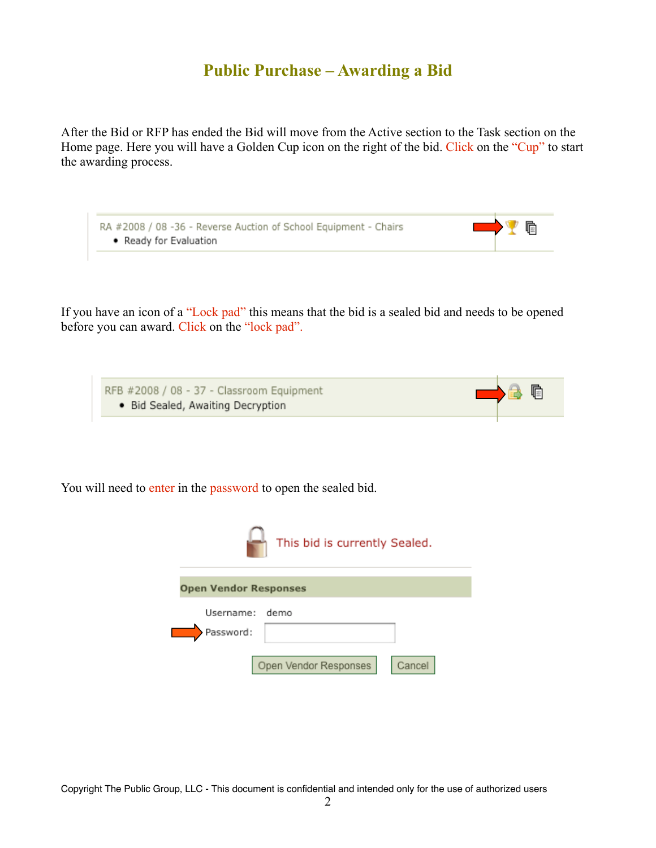## **Public Purchase – Awarding a Bid**

After the Bid or RFP has ended the Bid will move from the Active section to the Task section on the Home page. Here you will have a Golden Cup icon on the right of the bid. Click on the "Cup" to start the awarding process.

| RA #2008 / 08 -36 - Reverse Auction of School Equipment - Chairs<br>• Ready for Evaluation | <b>DEVE</b> |  |
|--------------------------------------------------------------------------------------------|-------------|--|
|                                                                                            |             |  |

If you have an icon of a "Lock pad" this means that the bid is a sealed bid and needs to be opened before you can award. Click on the "lock pad".

RFB #2008 / 08 - 37 - Classroom Equipment<br>• Bid Sealed, Awaiting Decryption

咱

You will need to enter in the password to open the sealed bid.

| This bid is currently Sealed. |                                 |  |  |  |  |  |  |  |  |
|-------------------------------|---------------------------------|--|--|--|--|--|--|--|--|
| <b>Open Vendor Responses</b>  |                                 |  |  |  |  |  |  |  |  |
| Username:                     | demo                            |  |  |  |  |  |  |  |  |
| Password:                     |                                 |  |  |  |  |  |  |  |  |
|                               |                                 |  |  |  |  |  |  |  |  |
|                               | Open Vendor Responses<br>Cancel |  |  |  |  |  |  |  |  |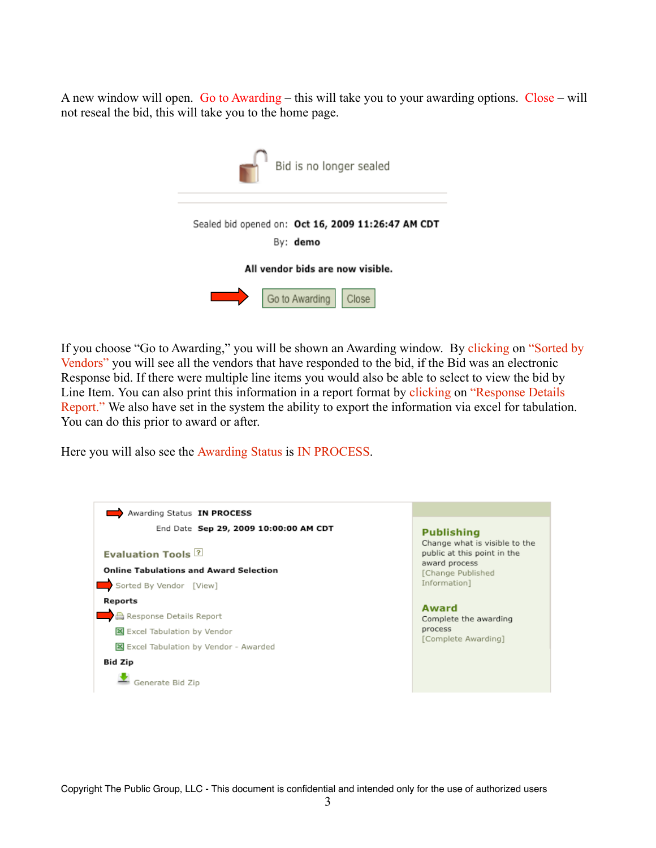A new window will open. Go to Awarding – this will take you to your awarding options. Close – will not reseal the bid, this will take you to the home page.



If you choose "Go to Awarding," you will be shown an Awarding window. By clicking on "Sorted by Vendors" you will see all the vendors that have responded to the bid, if the Bid was an electronic Response bid. If there were multiple line items you would also be able to select to view the bid by Line Item. You can also print this information in a report format by clicking on "Response Details" Report." We also have set in the system the ability to export the information via excel for tabulation. You can do this prior to award or after.

Here you will also see the Awarding Status is IN PROCESS.

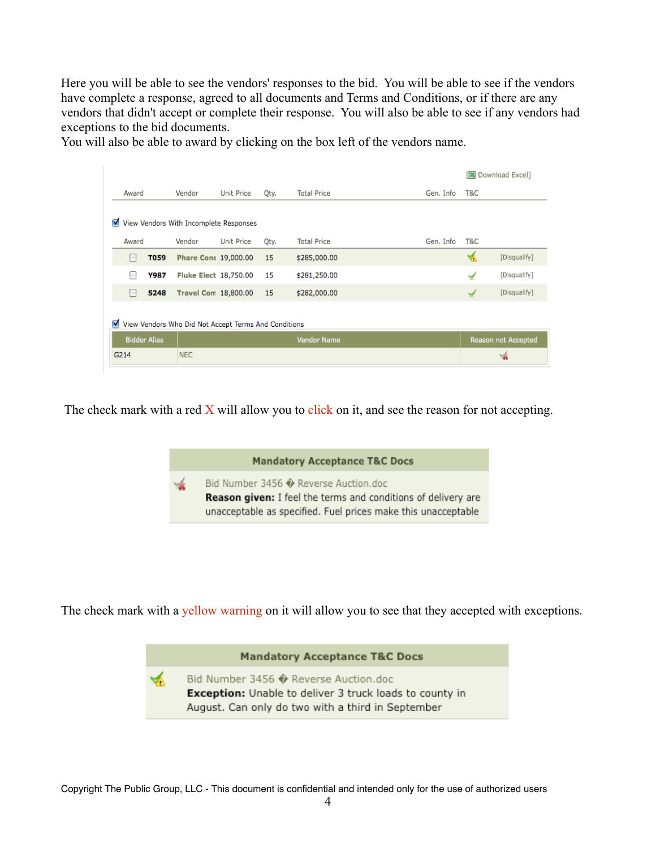Here you will be able to see the vendors' responses to the bid. You will be able to see if the vendors have complete a response, agreed to all documents and Terms and Conditions, or if there are any vendors that didn't accept or complete their response. You will also be able to see if any vendors had exceptions to the bid documents.

You will also be able to award by clicking on the box left of the vendors name.

|                                                           |                                             |                     |                              |                   |      |                    |           | ſR  | Download Excel]            |  |
|-----------------------------------------------------------|---------------------------------------------|---------------------|------------------------------|-------------------|------|--------------------|-----------|-----|----------------------------|--|
|                                                           | Award                                       |                     | Vendor                       | <b>Unit Price</b> | Qty. | <b>Total Price</b> | Gen. Info | T&C |                            |  |
|                                                           | ▿<br>View Vendors With Incomplete Responses |                     |                              |                   |      |                    |           |     |                            |  |
|                                                           | Award                                       |                     | Vendor                       | <b>Unit Price</b> | Qty. | <b>Total Price</b> | Gen. Info | T&C |                            |  |
|                                                           | $\overline{ }$                              | <b>T059</b>         | Phare Cons 19,000.00         |                   | 15   | \$285,000.00       |           | ক   | [Disqualify]               |  |
|                                                           | m                                           | Y987                | <b>Fluke Elect 18,750.00</b> |                   | 15   | \$281,250.00       |           | ✓   | [Disqualify]               |  |
|                                                           | $\Box$                                      | <b>S248</b>         | <b>Travel Com 18,800.00</b>  |                   | 15   | \$282,000.00       |           | ✔   | [Disqualify]               |  |
| ⊽<br>View Vendors Who Did Not Accept Terms And Conditions |                                             |                     |                              |                   |      |                    |           |     |                            |  |
|                                                           |                                             | <b>Bidder Alias</b> |                              |                   |      | <b>Vendor Name</b> |           |     | <b>Reason not Accepted</b> |  |
|                                                           | G214                                        |                     | <b>NEC</b>                   |                   |      |                    |           |     | w                          |  |

The check mark with a red  $\overline{X}$  will allow you to click on it, and see the reason for not accepting.



The check mark with a yellow warning on it will allow you to see that they accepted with exceptions.

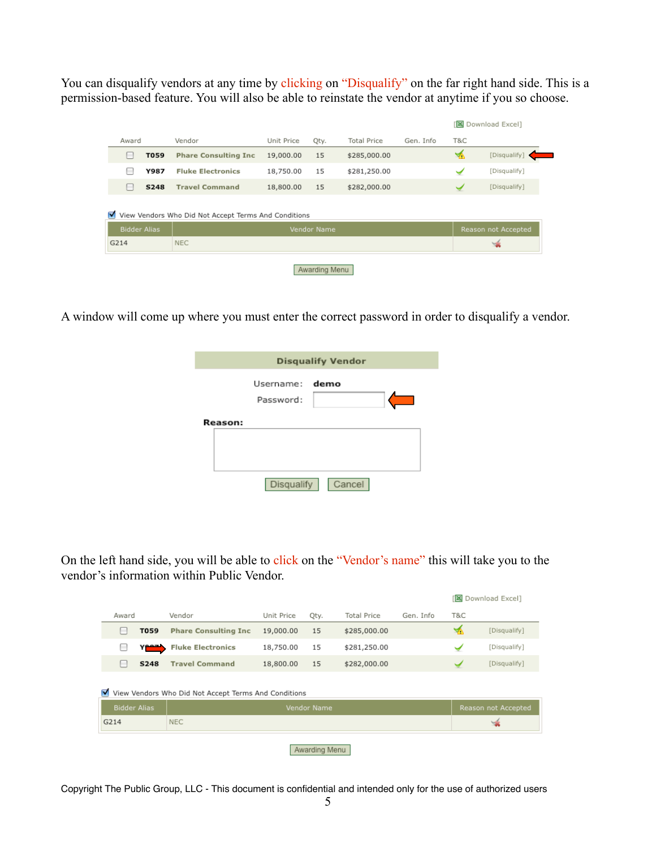You can disqualify vendors at any time by clicking on "Disqualify" on the far right hand side. This is a permission-based feature. You will also be able to reinstate the vendor at anytime if you so choose.

| Vendor<br><b>Phare Consulting Inc.</b><br><b>Fluke Electronics</b> | Unit Price<br>19,000.00 | Qty.<br>15 | <b>Total Price</b><br>\$285,000.00 | Gen. Info | T&C |                     |  |  |  |  |  |
|--------------------------------------------------------------------|-------------------------|------------|------------------------------------|-----------|-----|---------------------|--|--|--|--|--|
|                                                                    |                         |            |                                    |           |     |                     |  |  |  |  |  |
|                                                                    |                         |            |                                    |           | ឃ   | [Disqualify]        |  |  |  |  |  |
|                                                                    | 18,750.00               | 15         | \$281,250.00                       |           |     | [Disqualify]        |  |  |  |  |  |
| <b>Travel Command</b>                                              | 18,800.00               | 15         | \$282,000.00                       |           |     | [Disqualify]        |  |  |  |  |  |
| M<br>View Vendors Who Did Not Accept Terms And Conditions          |                         |            |                                    |           |     |                     |  |  |  |  |  |
|                                                                    |                         |            |                                    |           |     | Reason not Accepted |  |  |  |  |  |
| <b>NEC</b>                                                         |                         |            |                                    |           |     |                     |  |  |  |  |  |
|                                                                    |                         |            | Vendor Name                        |           |     |                     |  |  |  |  |  |

A window will come up where you must enter the correct password in order to disqualify a vendor.

|                |                             | <b>Disqualify Vendor</b> |
|----------------|-----------------------------|--------------------------|
|                | Username: demo<br>Password: |                          |
| <b>Reason:</b> |                             |                          |
|                | Disqualify                  | Cancel                   |

On the left hand side, you will be able to click on the "Vendor's name" this will take you to the vendor's information within Public Vendor.

|                     |             |                                                      |            |                    |                    |           |     | 图 Download Excel]   |  |  |  |  |  |  |  |  |  |
|---------------------|-------------|------------------------------------------------------|------------|--------------------|--------------------|-----------|-----|---------------------|--|--|--|--|--|--|--|--|--|
| Award               |             | Vendor                                               | Unit Price | Qty.               | <b>Total Price</b> | Gen. Info | T&C |                     |  |  |  |  |  |  |  |  |  |
| -                   | T059        | <b>Phare Consulting Inc.</b>                         | 19,000.00  | 15                 | \$285,000.00       |           | ۳ò  | [Disqualify]        |  |  |  |  |  |  |  |  |  |
| $\equiv$            | Yess)       | <b>Fluke Electronics</b>                             | 18,750.00  | 15                 | \$281,250.00       |           |     | [Disqualify]        |  |  |  |  |  |  |  |  |  |
| -                   | <b>S248</b> | <b>Travel Command</b>                                | 18,800.00  | 15                 | \$282,000.00       |           |     | [Disqualify]        |  |  |  |  |  |  |  |  |  |
| M                   |             | View Vendors Who Did Not Accept Terms And Conditions |            |                    |                    |           |     |                     |  |  |  |  |  |  |  |  |  |
| <b>Bidder Alias</b> |             |                                                      |            | <b>Vendor Name</b> |                    |           |     | Reason not Accepted |  |  |  |  |  |  |  |  |  |
| G214                |             | <b>NEC</b>                                           |            |                    |                    |           |     |                     |  |  |  |  |  |  |  |  |  |
|                     |             |                                                      |            |                    |                    |           |     | Awarding Menu       |  |  |  |  |  |  |  |  |  |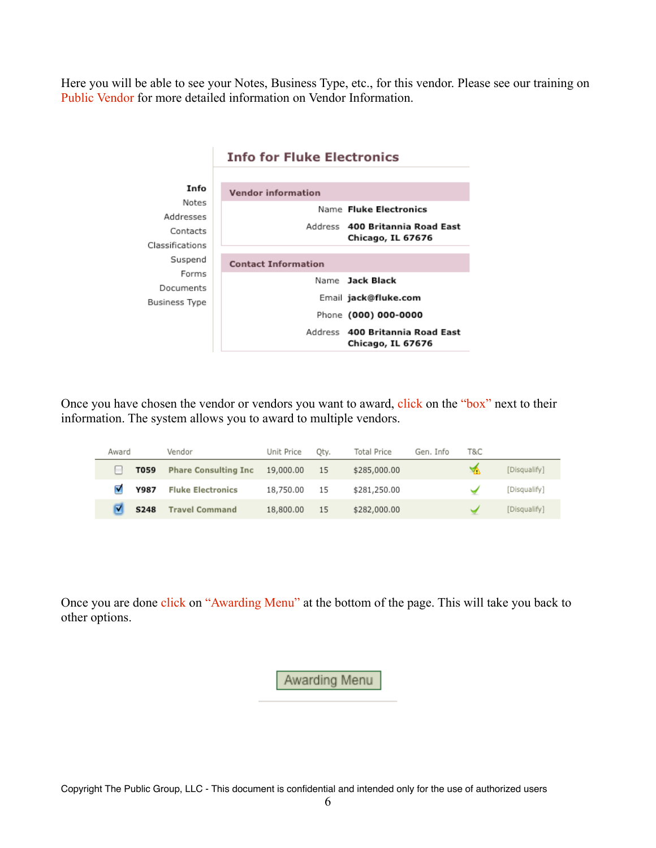Here you will be able to see your Notes, Business Type, etc., for this vendor. Please see our training on Public Vendor for more detailed information on Vendor Information.

|                                        | <b>Info for Fluke Electronics</b>                                                                           |  |  |  |  |  |  |
|----------------------------------------|-------------------------------------------------------------------------------------------------------------|--|--|--|--|--|--|
| Info<br>Notes<br>Addresses<br>Contacts | <b>Vendor information</b><br>Name Fluke Electronics<br>Address 400 Britannia Road East<br>Chicago, IL 67676 |  |  |  |  |  |  |
| Classifications                        |                                                                                                             |  |  |  |  |  |  |
| Suspend<br>Forms                       | <b>Contact Information</b>                                                                                  |  |  |  |  |  |  |
| Documents                              | Name Jack Black                                                                                             |  |  |  |  |  |  |
| Business Type                          | Email jack@fluke.com                                                                                        |  |  |  |  |  |  |
|                                        | Phone (000) 000-0000                                                                                        |  |  |  |  |  |  |
|                                        | Address 400 Britannia Road East<br>Chicago, IL 67676                                                        |  |  |  |  |  |  |

#### Once you have chosen the vendor or vendors you want to award, click on the "box" next to their information. The system allows you to award to multiple vendors.

| Award |             | Vendor                       | Unit Price | Oty. | <b>Total Price</b> | Gen. Info | T&C |              |
|-------|-------------|------------------------------|------------|------|--------------------|-----------|-----|--------------|
|       | T059        | <b>Phare Consulting Inc.</b> | 19,000.00  | -15  | \$285,000.00       |           |     | [Disqualify] |
|       | Y987        | <b>Fluke Electronics</b>     | 18,750.00  | - 15 | \$281,250.00       |           |     | [Disqualify] |
|       | <b>S248</b> | <b>Travel Command</b>        | 18,800.00  | -15  | \$282,000.00       |           |     | [Disqualify] |

Once you are done click on "Awarding Menu" at the bottom of the page. This will take you back to other options.

Awarding Menu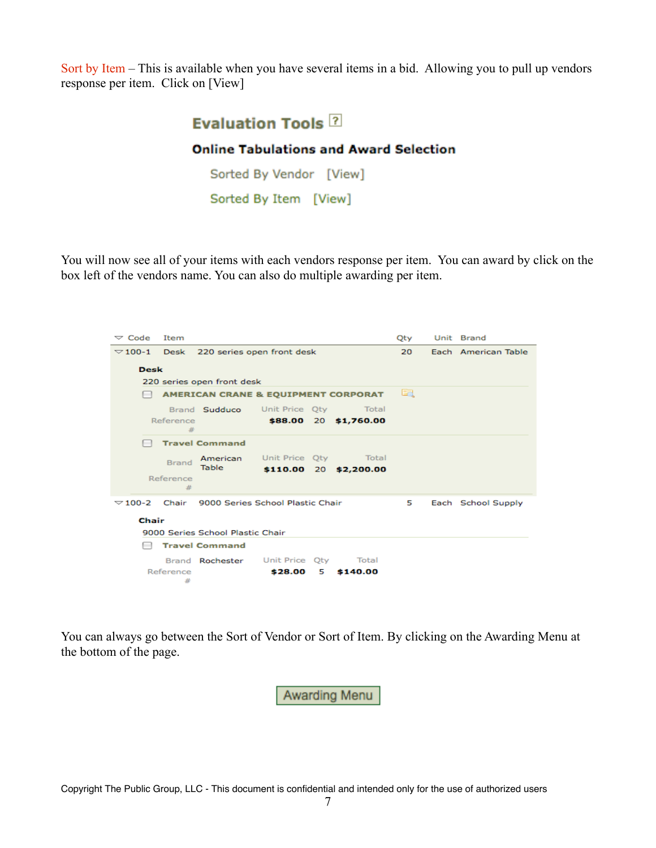Sort by Item – This is available when you have several items in a bid. Allowing you to pull up vendors response per item. Click on [View]



#### **Online Tabulations and Award Selection**

Sorted By Vendor [View] Sorted By Item [View]

You will now see all of your items with each vendors response per item. You can award by click on the box left of the vendors name. You can also do multiple awarding per item.

| $\triangledown$ Code | Item           |                                                         |         |    |                        | Oty                 |  | Unit Brand         |  |  |  |
|----------------------|----------------|---------------------------------------------------------|---------|----|------------------------|---------------------|--|--------------------|--|--|--|
|                      |                | $\sqrt{100-1}$ Desk 220 series open front desk          |         | 20 |                        | Each American Table |  |                    |  |  |  |
| <b>Desk</b>          |                |                                                         |         |    |                        |                     |  |                    |  |  |  |
|                      |                | 220 series open front desk                              |         |    |                        |                     |  |                    |  |  |  |
|                      |                | <b>AMERICAN CRANE &amp; EQUIPMENT CORPORAT</b>          |         |    |                        | E.                  |  |                    |  |  |  |
|                      |                | Brand Sudduco Unit Price Oty Total                      |         |    |                        |                     |  |                    |  |  |  |
|                      | Reference<br>辈 |                                                         |         |    | \$88.00 20 \$1,760.00  |                     |  |                    |  |  |  |
|                      |                | <b>Travel Command</b>                                   |         |    |                        |                     |  |                    |  |  |  |
|                      | <b>Brand</b>   | American                                                |         |    | Unit Price Oty Total   |                     |  |                    |  |  |  |
|                      | Reference      | Table                                                   |         |    | \$110.00 20 \$2,200.00 |                     |  |                    |  |  |  |
|                      | 苹              |                                                         |         |    |                        |                     |  |                    |  |  |  |
|                      |                | $\sqrt{2}$ 100-2 Chair 9000 Series School Plastic Chair |         |    |                        | 5                   |  | Each School Supply |  |  |  |
| Chair                |                |                                                         |         |    |                        |                     |  |                    |  |  |  |
|                      |                | 9000 Series School Plastic Chair                        |         |    |                        |                     |  |                    |  |  |  |
|                      |                | <b>Travel Command</b>                                   |         |    |                        |                     |  |                    |  |  |  |
|                      |                | Brand <b>Rochester</b> Unit Price Qty Total             |         |    |                        |                     |  |                    |  |  |  |
|                      | Reference      |                                                         | \$28.00 | 5  | \$140.00               |                     |  |                    |  |  |  |
|                      | #              |                                                         |         |    |                        |                     |  |                    |  |  |  |

You can always go between the Sort of Vendor or Sort of Item. By clicking on the Awarding Menu at the bottom of the page.

Awarding Menu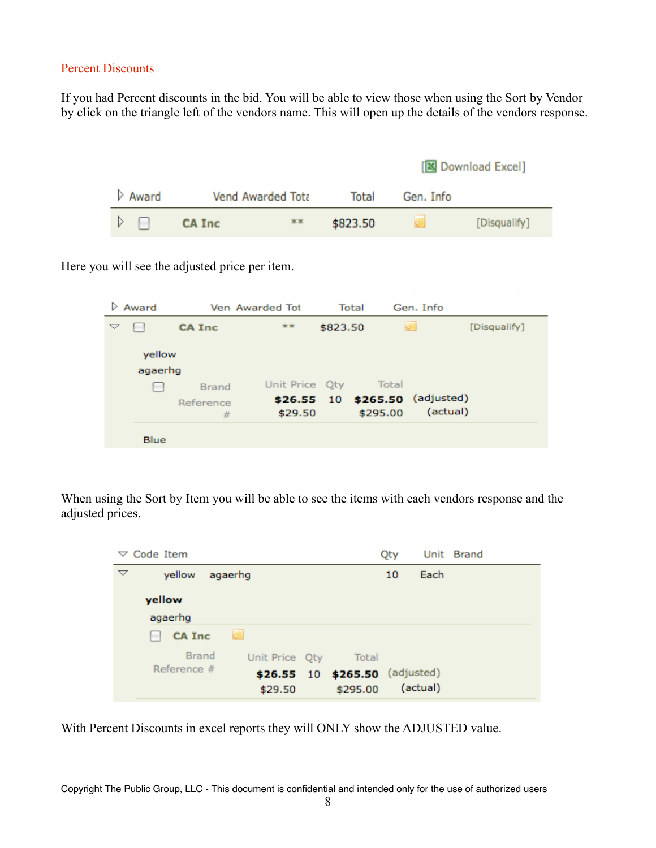#### Percent Discounts

If you had Percent discounts in the bid. You will be able to view those when using the Sort by Vendor by click on the triangle left of the vendors name. This will open up the details of the vendors response.

|       |               |                   |          |           | [图 Download Excel] |
|-------|---------------|-------------------|----------|-----------|--------------------|
| Award |               | Vend Awarded Tota | Total    | Gen. Info |                    |
|       | <b>CA Inc</b> | **                | \$823.50 |           | [Disqualify]       |

Here you will see the adjusted price per item.

| Award |         | Ven Awarded Tot |                | Total    | Gen. Info |                                            |              |
|-------|---------|-----------------|----------------|----------|-----------|--------------------------------------------|--------------|
| ▽     |         | <b>CA Inc.</b>  | **             | \$823.50 |           |                                            | [Disqualify] |
|       | yellow  |                 |                |          |           |                                            |              |
|       | agaerhg |                 |                |          |           |                                            |              |
|       |         | Brand           | Unit Price Oty |          | Total     |                                            |              |
|       |         | Reference<br>#  | \$29.50        |          | \$295.00  | \$26.55 10 \$265.50 (adjusted)<br>(actual) |              |
|       | Blue    |                 |                |          |           |                                            |              |

When using the Sort by Item you will be able to see the items with each vendors response and the adjusted prices.

| $\triangledown$ Code Item            |                                            | Qty |          | Unit Brand |
|--------------------------------------|--------------------------------------------|-----|----------|------------|
| $\triangledown$<br>yellow<br>agaerhg |                                            | 10  | Each     |            |
| yellow<br>agaerhg                    |                                            |     |          |            |
| <b>CA Inc</b><br>5.<br>н             |                                            |     |          |            |
| Brand<br>Unit Price Qty              | Total                                      |     |          |            |
| Reference #<br>\$29.50               | \$26.55 10 \$265.50 (adjusted)<br>\$295.00 |     | (actual) |            |

With Percent Discounts in excel reports they will ONLY show the ADJUSTED value.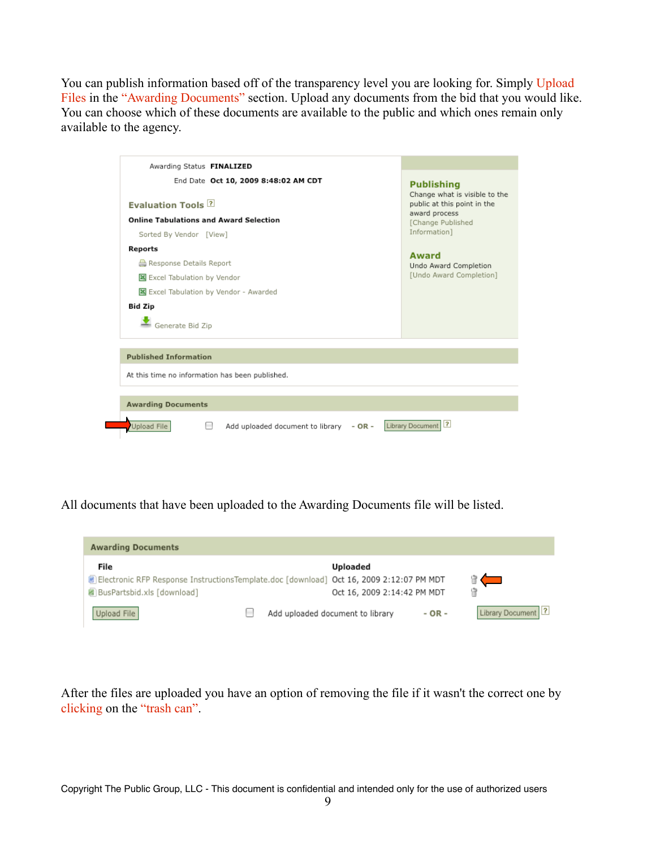You can publish information based off of the transparency level you are looking for. Simply Upload Files in the "Awarding Documents" section. Upload any documents from the bid that you would like. You can choose which of these documents are available to the public and which ones remain only available to the agency.

| Awarding Status FINALIZED                       |                                                              |
|-------------------------------------------------|--------------------------------------------------------------|
| End Date Oct 10, 2009 8:48:02 AM CDT            | <b>Publishing</b>                                            |
| <b>Evaluation Tools ?</b>                       | Change what is visible to the<br>public at this point in the |
| <b>Online Tabulations and Award Selection</b>   | award process<br>[Change Published                           |
| Sorted By Vendor [View]                         | Information1                                                 |
| Reports                                         | <b>Award</b>                                                 |
| Response Details Report                         | Undo Award Completion                                        |
| Excel Tabulation by Vendor                      | [Undo Award Completion]                                      |
| Excel Tabulation by Vendor - Awarded            |                                                              |
| Bid Zip                                         |                                                              |
| Generate Bid Zip                                |                                                              |
| <b>Published Information</b>                    |                                                              |
| At this time no information has been published. |                                                              |
| <b>Awarding Documents</b>                       |                                                              |
|                                                 |                                                              |

All documents that have been uploaded to the Awarding Documents file will be listed.



After the files are uploaded you have an option of removing the file if it wasn't the correct one by clicking on the "trash can".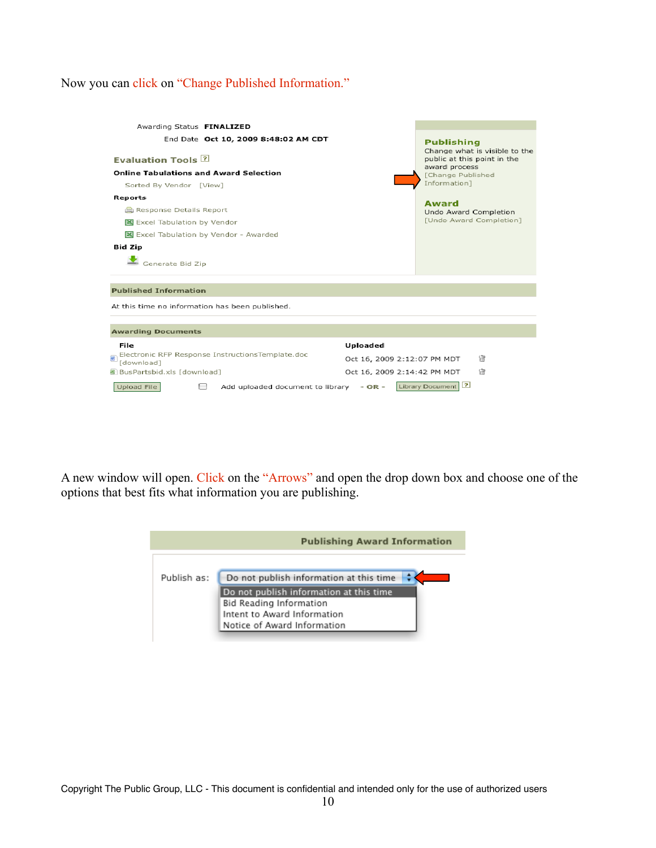## Now you can click on "Change Published Information."

| Awarding Status FINALIZED                                      |                             |                                                    |
|----------------------------------------------------------------|-----------------------------|----------------------------------------------------|
| End Date Oct 10, 2009 8:48:02 AM CDT                           |                             | <b>Publishing</b><br>Change what is visible to the |
| <b>Evaluation Tools ?</b>                                      |                             | public at this point in the                        |
| <b>Online Tabulations and Award Selection</b>                  |                             | award process<br>[Change Published                 |
| Sorted By Vendor [View]                                        |                             | Information]                                       |
| Reports                                                        |                             | Award                                              |
| Response Details Report                                        |                             | Undo Award Completion                              |
| 图 Excel Tabulation by Vendor                                   |                             | [Undo Award Completion]                            |
| Excel Tabulation by Vendor - Awarded                           |                             |                                                    |
| <b>Bid Zip</b>                                                 |                             |                                                    |
| $\blacktriangleright$ Generate Bid Zip                         |                             |                                                    |
|                                                                |                             |                                                    |
| <b>Published Information</b>                                   |                             |                                                    |
| At this time no information has been published.                |                             |                                                    |
|                                                                |                             |                                                    |
| <b>Awarding Documents</b>                                      |                             |                                                    |
| File                                                           | Uploaded                    |                                                    |
| Electronic RFP Response InstructionsTemplate.doc<br>[download] | Oct 16, 2009 2:12:07 PM MDT | 憎                                                  |
| 图 BusPartsbid.xls [download]                                   | Oct 16, 2009 2:14:42 PM MDT | 憎                                                  |
| Upload File<br>Add uploaded document to library - OR -         |                             | 2 <br>Library Document                             |

A new window will open. Click on the "Arrows" and open the drop down box and choose one of the options that best fits what information you are publishing.

| <b>Publishing Award Information</b> |                                                        |  |  |
|-------------------------------------|--------------------------------------------------------|--|--|
| Publish as:                         | Do not publish information at this time                |  |  |
|                                     | Do not publish information at this time                |  |  |
|                                     | Bid Reading Information<br>Intent to Award Information |  |  |
|                                     | Notice of Award Information                            |  |  |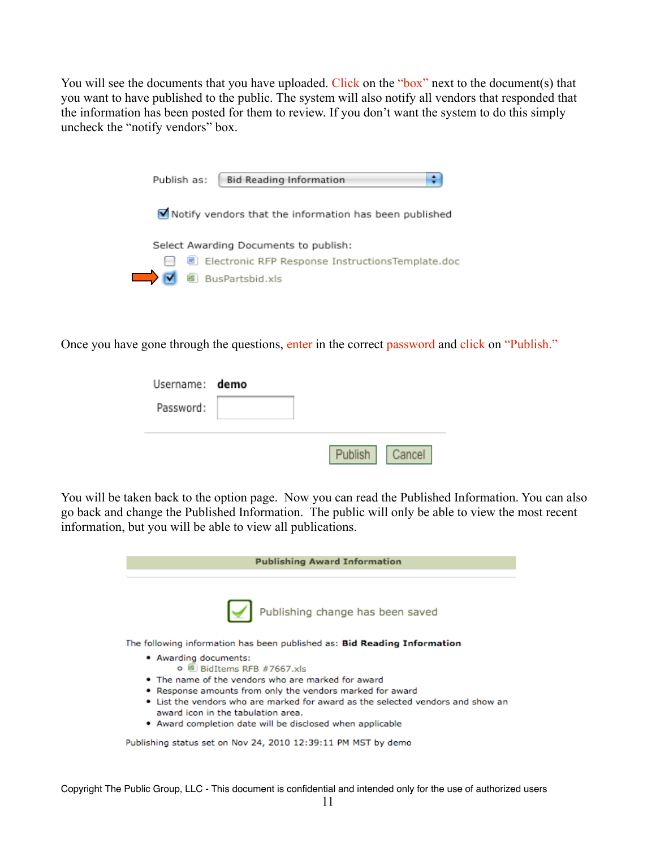You will see the documents that you have uploaded. Click on the "box" next to the document(s) that you want to have published to the public. The system will also notify all vendors that responded that the information has been posted for them to review. If you don't want the system to do this simply uncheck the "notify vendors" box.

|        | <b>Bid Reading Information</b><br>Publish as:            |
|--------|----------------------------------------------------------|
|        | M Notify vendors that the information has been published |
|        | Select Awarding Documents to publish:                    |
| $\sim$ | ■ Electronic RFP Response InstructionsTemplate.doc       |
|        | BusPartsbid.xls                                          |

Once you have gone through the questions, enter in the correct password and click on "Publish."

| Username: demo |         |        |
|----------------|---------|--------|
| Password:      |         |        |
|                |         |        |
|                | Publish | Cancel |

You will be taken back to the option page. Now you can read the Published Information. You can also go back and change the Published Information. The public will only be able to view the most recent information, but you will be able to view all publications.

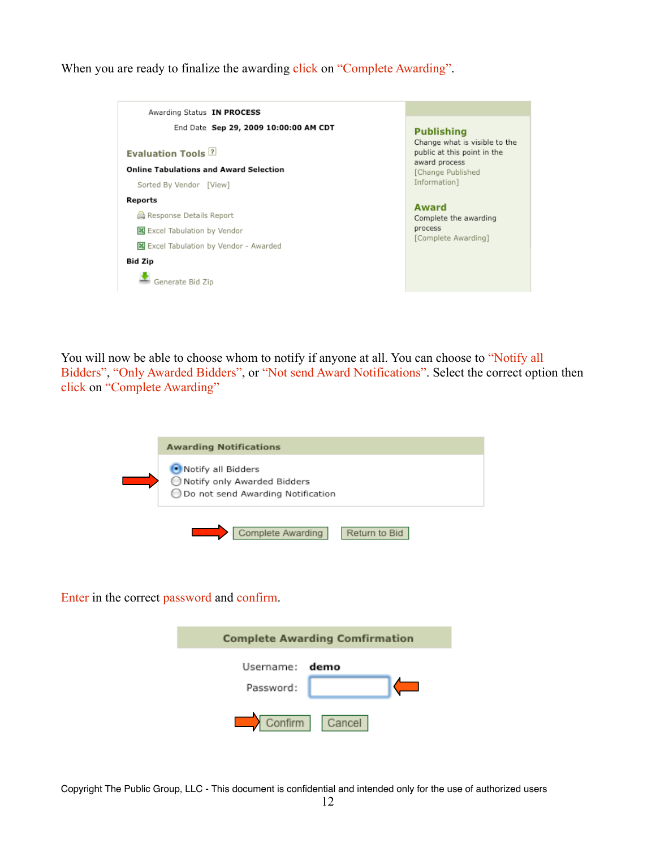When you are ready to finalize the awarding click on "Complete Awarding".

| End Date Sep 29, 2009 10:00:00 AM CDT         | <b>Publishing</b><br>Change what is visible to the |
|-----------------------------------------------|----------------------------------------------------|
| <b>Evaluation Tools 2</b>                     | public at this point in the                        |
| <b>Online Tabulations and Award Selection</b> | award process<br>[Change Published                 |
| Sorted By Vendor [View]                       | Information1                                       |
| Reports                                       | Award                                              |
| Response Details Report                       | Complete the awarding                              |
| Excel Tabulation by Vendor                    | process<br>[Complete Awarding]                     |
| Excel Tabulation by Vendor - Awarded          |                                                    |
| Bid Zip                                       |                                                    |

You will now be able to choose whom to notify if anyone at all. You can choose to "Notify all Bidders", "Only Awarded Bidders", or "Not send Award Notifications". Select the correct option then click on "Complete Awarding"

| <b>Awarding Notifications</b>                                                              |
|--------------------------------------------------------------------------------------------|
| Notify all Bidders<br>◯ Notify only Awarded Bidders<br>◯ Do not send Awarding Notification |
| Complete Awarding<br>Return to Bid                                                         |

Enter in the correct password and confirm.

| <b>Complete Awarding Comfirmation</b> |                |  |  |  |
|---------------------------------------|----------------|--|--|--|
| Username: demo<br>Password:           |                |  |  |  |
|                                       | Confirm Cancel |  |  |  |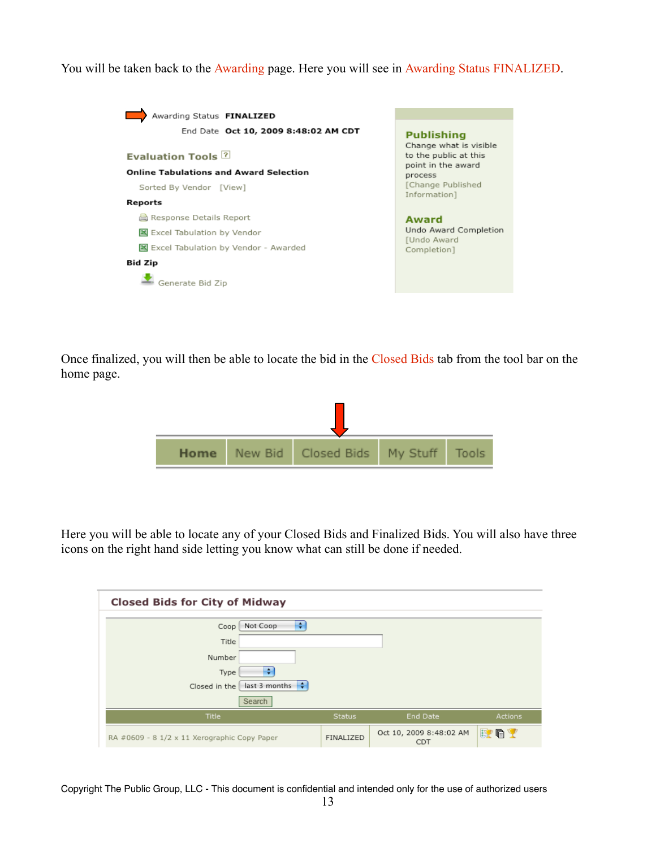You will be taken back to the Awarding page. Here you will see in Awarding Status FINALIZED.



Once finalized, you will then be able to locate the bid in the Closed Bids tab from the tool bar on the home page.



Here you will be able to locate any of your Closed Bids and Finalized Bids. You will also have three icons on the right hand side letting you know what can still be done if needed.

| <b>Closed Bids for City of Midway</b>        |               |                                       |                |
|----------------------------------------------|---------------|---------------------------------------|----------------|
| ÷<br>Not Coop<br>Coop                        |               |                                       |                |
| Title                                        |               |                                       |                |
| Number                                       |               |                                       |                |
| ÷<br>Type                                    |               |                                       |                |
| last 3 months $\div$<br>Closed in the        |               |                                       |                |
| Search                                       |               |                                       |                |
| Title                                        | <b>Status</b> | End Date                              | <b>Actions</b> |
| RA #0609 - 8 1/2 x 11 Xerographic Copy Paper | FINALIZED     | Oct 10, 2009 8:48:02 AM<br><b>CDT</b> | 夏咱?            |